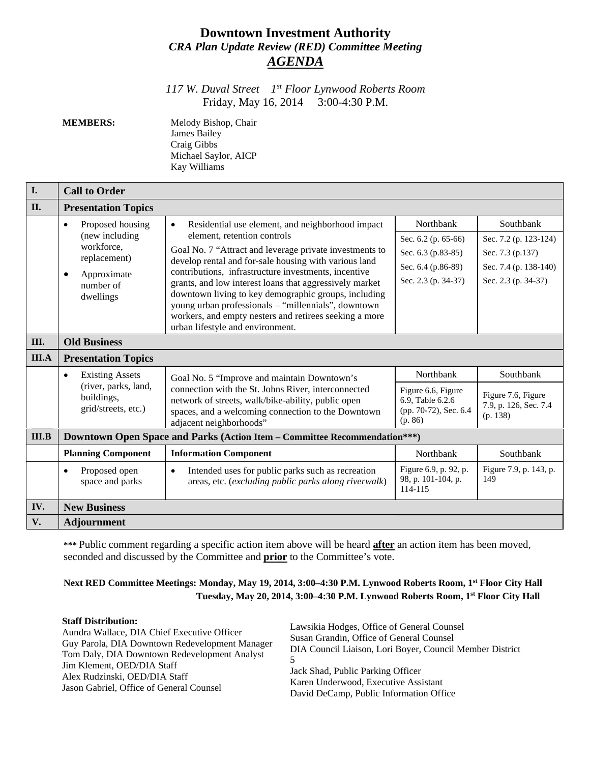# **Downtown Investment Authority** *CRA Plan Update Review (RED) Committee Meeting AGENDA*

*117 W. Duval Street 1st Floor Lynwood Roberts Room* Friday, May 16, 2014 3:00-4:30 P.M.

**MEMBERS:** Melody Bishop, Chair James Bailey Craig Gibbs Michael Saylor, AICP Kay Williams

| I.           | <b>Call to Order</b>                                                                                                                |                                                                                                                                                                                                                                                                                                                                                                                                                                                                                                                                                  |                                                                                                     |                                                                                                        |  |
|--------------|-------------------------------------------------------------------------------------------------------------------------------------|--------------------------------------------------------------------------------------------------------------------------------------------------------------------------------------------------------------------------------------------------------------------------------------------------------------------------------------------------------------------------------------------------------------------------------------------------------------------------------------------------------------------------------------------------|-----------------------------------------------------------------------------------------------------|--------------------------------------------------------------------------------------------------------|--|
| II.          | <b>Presentation Topics</b>                                                                                                          |                                                                                                                                                                                                                                                                                                                                                                                                                                                                                                                                                  |                                                                                                     |                                                                                                        |  |
|              | Proposed housing<br>$\bullet$<br>(new including<br>workforce,<br>replacement)<br>Approximate<br>$\bullet$<br>number of<br>dwellings | Residential use element, and neighborhood impact<br>$\bullet$<br>element, retention controls<br>Goal No. 7 "Attract and leverage private investments to<br>develop rental and for-sale housing with various land<br>contributions, infrastructure investments, incentive<br>grants, and low interest loans that aggressively market<br>downtown living to key demographic groups, including<br>young urban professionals - "millennials", downtown<br>workers, and empty nesters and retirees seeking a more<br>urban lifestyle and environment. | Northbank<br>Sec. 6.2 (p. 65-66)<br>Sec. 6.3 (p.83-85)<br>Sec. 6.4 (p.86-89)<br>Sec. 2.3 (p. 34-37) | Southbank<br>Sec. 7.2 (p. 123-124)<br>Sec. 7.3 (p.137)<br>Sec. 7.4 (p. 138-140)<br>Sec. 2.3 (p. 34-37) |  |
| Ш.           | <b>Old Business</b>                                                                                                                 |                                                                                                                                                                                                                                                                                                                                                                                                                                                                                                                                                  |                                                                                                     |                                                                                                        |  |
| <b>III.A</b> | <b>Presentation Topics</b>                                                                                                          |                                                                                                                                                                                                                                                                                                                                                                                                                                                                                                                                                  |                                                                                                     |                                                                                                        |  |
|              | <b>Existing Assets</b><br>$\bullet$<br>(river, parks, land,<br>buildings,<br>grid/streets, etc.)                                    | Goal No. 5 "Improve and maintain Downtown's<br>connection with the St. Johns River, interconnected<br>network of streets, walk/bike-ability, public open<br>spaces, and a welcoming connection to the Downtown<br>adjacent neighborhoods"                                                                                                                                                                                                                                                                                                        | Northbank<br>Figure 6.6, Figure<br>6.9, Table 6.2.6<br>(pp. 70-72), Sec. 6.4<br>(p. 86)             | Southbank<br>Figure 7.6, Figure<br>7.9, p. 126, Sec. 7.4<br>(p. 138)                                   |  |
| III.B        | Downtown Open Space and Parks (Action Item - Committee Recommendation***)                                                           |                                                                                                                                                                                                                                                                                                                                                                                                                                                                                                                                                  |                                                                                                     |                                                                                                        |  |
|              | <b>Planning Component</b>                                                                                                           | <b>Information Component</b>                                                                                                                                                                                                                                                                                                                                                                                                                                                                                                                     | Northbank                                                                                           | Southbank                                                                                              |  |
|              | Proposed open<br>$\bullet$<br>space and parks                                                                                       | Intended uses for public parks such as recreation<br>$\bullet$<br>areas, etc. (excluding public parks along riverwalk)                                                                                                                                                                                                                                                                                                                                                                                                                           | Figure 6.9, p. 92, p.<br>98, p. 101-104, p.<br>114-115                                              | Figure 7.9, p. 143, p.<br>149                                                                          |  |
| IV.          | <b>New Business</b>                                                                                                                 |                                                                                                                                                                                                                                                                                                                                                                                                                                                                                                                                                  |                                                                                                     |                                                                                                        |  |
| V.           | <b>Adjournment</b>                                                                                                                  |                                                                                                                                                                                                                                                                                                                                                                                                                                                                                                                                                  |                                                                                                     |                                                                                                        |  |

**\*\*\*** Public comment regarding a specific action item above will be heard **after** an action item has been moved, seconded and discussed by the Committee and **prior** to the Committee's vote.

# **Next RED Committee Meetings: Monday, May 19, 2014, 3:00–4:30 P.M. Lynwood Roberts Room, 1st Floor City Hall Tuesday, May 20, 2014, 3:00–4:30 P.M. Lynwood Roberts Room, 1st Floor City Hall**

#### **Staff Distribution:**

Aundra Wallace, DIA Chief Executive Officer Guy Parola, DIA Downtown Redevelopment Manager Tom Daly, DIA Downtown Redevelopment Analyst Jim Klement, OED/DIA Staff Alex Rudzinski, OED/DIA Staff Jason Gabriel, Office of General Counsel

Lawsikia Hodges, Office of General Counsel Susan Grandin, Office of General Counsel DIA Council Liaison, Lori Boyer, Council Member District 5 Jack Shad, Public Parking Officer Karen Underwood, Executive Assistant David DeCamp, Public Information Office